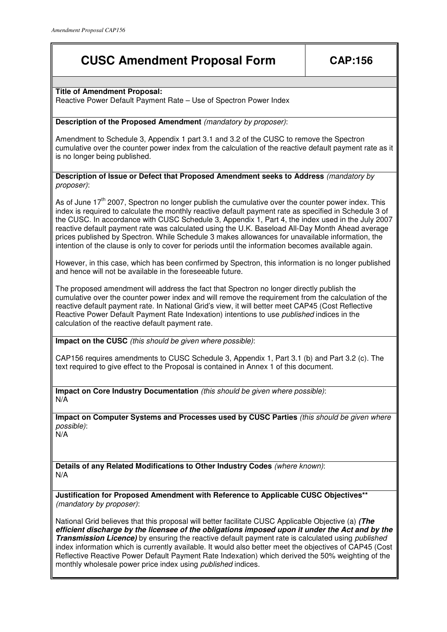# **CUSC Amendment Proposal Form CAP:156**

#### **Title of Amendment Proposal:**

Reactive Power Default Payment Rate – Use of Spectron Power Index

### **Description of the Proposed Amendment** (mandatory by proposer):

Amendment to Schedule 3, Appendix 1 part 3.1 and 3.2 of the CUSC to remove the Spectron cumulative over the counter power index from the calculation of the reactive default payment rate as it is no longer being published.

#### **Description of Issue or Defect that Proposed Amendment seeks to Address** (mandatory by proposer):

As of June 17<sup>th</sup> 2007. Spectron no longer publish the cumulative over the counter power index. This index is required to calculate the monthly reactive default payment rate as specified in Schedule 3 of the CUSC. In accordance with CUSC Schedule 3, Appendix 1, Part 4, the index used in the July 2007 reactive default payment rate was calculated using the U.K. Baseload All-Day Month Ahead average prices published by Spectron. While Schedule 3 makes allowances for unavailable information, the intention of the clause is only to cover for periods until the information becomes available again.

However, in this case, which has been confirmed by Spectron, this information is no longer published and hence will not be available in the foreseeable future.

The proposed amendment will address the fact that Spectron no longer directly publish the cumulative over the counter power index and will remove the requirement from the calculation of the reactive default payment rate. In National Grid's view, it will better meet CAP45 (Cost Reflective Reactive Power Default Payment Rate Indexation) intentions to use *published* indices in the calculation of the reactive default payment rate.

**Impact on the CUSC** (this should be given where possible):

CAP156 requires amendments to CUSC Schedule 3, Appendix 1, Part 3.1 (b) and Part 3.2 (c). The text required to give effect to the Proposal is contained in Annex 1 of this document.

**Impact on Core Industry Documentation** (this should be given where possible): N/A

**Impact on Computer Systems and Processes used by CUSC Parties** (this should be given where possible):

N/A

**Details of any Related Modifications to Other Industry Codes** (where known): N/A

**Justification for Proposed Amendment with Reference to Applicable CUSC Objectives\*\***  (mandatory by proposer):

National Grid believes that this proposal will better facilitate CUSC Applicable Objective (a) **(The efficient discharge by the licensee of the obligations imposed upon it under the Act and by the Transmission Licence)** by ensuring the reactive default payment rate is calculated using published index information which is currently available. It would also better meet the objectives of CAP45 (Cost Reflective Reactive Power Default Payment Rate Indexation) which derived the 50% weighting of the monthly wholesale power price index using published indices.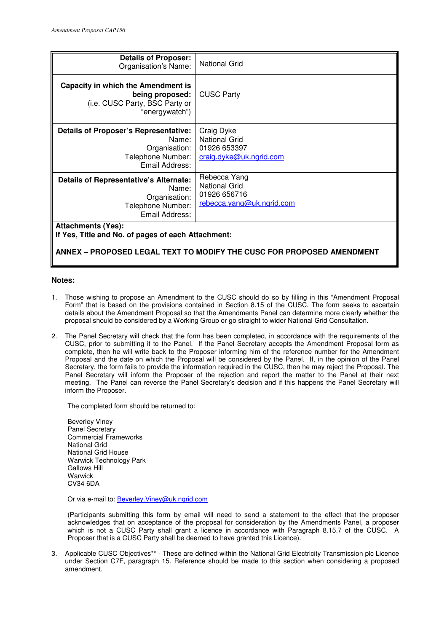| <b>Details of Proposer:</b><br>Organisation's Name:                                                        | <b>National Grid</b>                                                              |
|------------------------------------------------------------------------------------------------------------|-----------------------------------------------------------------------------------|
| Capacity in which the Amendment is<br>being proposed:<br>(i.e. CUSC Party, BSC Party or<br>"energywatch")  | <b>CUSC Party</b>                                                                 |
| Details of Proposer's Representative:<br>Name: I<br>Organisation:  <br>Telephone Number:<br>Email Address: | Craig Dyke<br><b>National Grid</b><br>01926 653397<br>craig.dyke@uk.ngrid.com     |
| Details of Representative's Alternate:<br>Name:<br>Organisation:<br>Telephone Number:<br>Email Address:    | Rebecca Yang<br><b>National Grid</b><br>01926 656716<br>rebecca.yang@uk.ngrid.com |
| <b>Attachments (Yes):</b><br>If Yes, Title and No. of pages of each Attachment:                            |                                                                                   |

#### **ANNEX – PROPOSED LEGAL TEXT TO MODIFY THE CUSC FOR PROPOSED AMENDMENT**

#### **Notes:**

- 1. Those wishing to propose an Amendment to the CUSC should do so by filling in this "Amendment Proposal Form" that is based on the provisions contained in Section 8.15 of the CUSC. The form seeks to ascertain details about the Amendment Proposal so that the Amendments Panel can determine more clearly whether the proposal should be considered by a Working Group or go straight to wider National Grid Consultation.
- 2. The Panel Secretary will check that the form has been completed, in accordance with the requirements of the CUSC, prior to submitting it to the Panel. If the Panel Secretary accepts the Amendment Proposal form as complete, then he will write back to the Proposer informing him of the reference number for the Amendment Proposal and the date on which the Proposal will be considered by the Panel. If, in the opinion of the Panel Secretary, the form fails to provide the information required in the CUSC, then he may reject the Proposal. The Panel Secretary will inform the Proposer of the rejection and report the matter to the Panel at their next meeting. The Panel can reverse the Panel Secretary's decision and if this happens the Panel Secretary will inform the Proposer.

The completed form should be returned to:

Beverley Viney Panel Secretary Commercial Frameworks National Grid National Grid House Warwick Technology Park Gallows Hill **Warwick** CV34 6DA

Or via e-mail to: Beverley.Viney@uk.ngrid.com

(Participants submitting this form by email will need to send a statement to the effect that the proposer acknowledges that on acceptance of the proposal for consideration by the Amendments Panel, a proposer which is not a CUSC Party shall grant a licence in accordance with Paragraph 8.15.7 of the CUSC. A Proposer that is a CUSC Party shall be deemed to have granted this Licence).

3. Applicable CUSC Objectives\*\* - These are defined within the National Grid Electricity Transmission plc Licence under Section C7F, paragraph 15. Reference should be made to this section when considering a proposed amendment.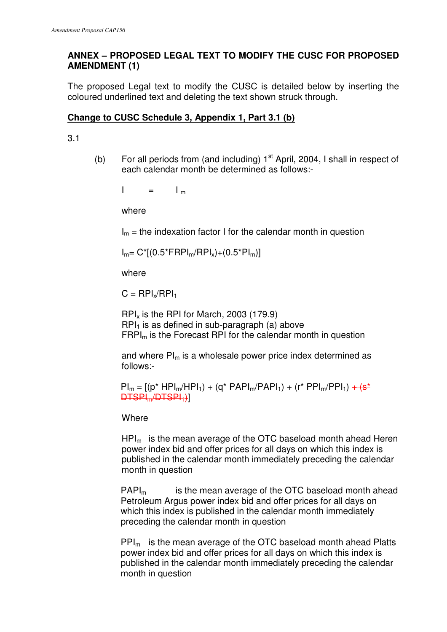## **ANNEX – PROPOSED LEGAL TEXT TO MODIFY THE CUSC FOR PROPOSED AMENDMENT (1)**

The proposed Legal text to modify the CUSC is detailed below by inserting the coloured underlined text and deleting the text shown struck through.

## **Change to CUSC Schedule 3, Appendix 1, Part 3.1 (b)**

3.1

(b) For all periods from (and including)  $1<sup>st</sup>$  April, 2004, I shall in respect of each calendar month be determined as follows:-

 $I = I_m$ 

where

 $I_m$  = the indexation factor I for the calendar month in question

 $I_m = C^*[ (0.5^*FRPI_m/RPI_x)+(0.5^*Pl_m) ]$ 

where

 $C = RPI_x/RPI_1$ 

 $RPI<sub>x</sub>$  is the RPI for March, 2003 (179.9)  $RPI<sub>1</sub>$  is as defined in sub-paragraph (a) above  $FRPI<sub>m</sub>$  is the Forecast RPI for the calendar month in question

and where  $PI_m$  is a wholesale power price index determined as follows:-

 $PI_m = [(p^* HPI_m/HPI_1) + (q^* PAPI_m/PAPI_1) + (r^* PPI_m/PPI_1) + (s^* PPI_m/PPI_1)]$ DTSPIm/DTSPI1)]

**Where** 

 $HPI<sub>m</sub>$  is the mean average of the OTC baseload month ahead Heren power index bid and offer prices for all days on which this index is published in the calendar month immediately preceding the calendar month in question

 $PAPI<sub>m</sub>$  is the mean average of the OTC baseload month ahead Petroleum Argus power index bid and offer prices for all days on which this index is published in the calendar month immediately preceding the calendar month in question

PPIm is the mean average of the OTC baseload month ahead Platts power index bid and offer prices for all days on which this index is published in the calendar month immediately preceding the calendar month in question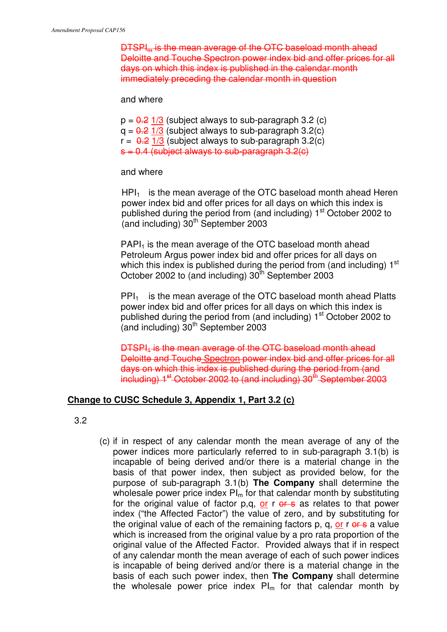DTSPI<sub>m</sub> is the mean average of the OTC baseload month ahead Deloitte and Touche Spectron power index bid and offer prices for all days on which this index is published in the calendar month immediately preceding the calendar month in question

and where

 $p = 0.2$  1/3 (subject always to sub-paragraph 3.2 (c)  $q = 0.2$  1/3 (subject always to sub-paragraph 3.2(c)  $r = 0.2$  1/3 (subject always to sub-paragraph 3.2(c)  $s = 0.4$  (subject always to sub-paragraph  $3.2(c)$ )

and where

 $HPI<sub>1</sub>$  is the mean average of the OTC baseload month ahead Heren power index bid and offer prices for all days on which this index is published during the period from (and including)  $1<sup>st</sup>$  October 2002 to (and including)  $30<sup>th</sup>$  September 2003

PAPI<sub>1</sub> is the mean average of the OTC baseload month ahead Petroleum Argus power index bid and offer prices for all days on which this index is published during the period from (and including) 1<sup>st</sup> October 2002 to (and including)  $30<sup>th</sup>$  September 2003

 $PPI_1$  is the mean average of the OTC baseload month ahead Platts power index bid and offer prices for all days on which this index is published during the period from (and including)  $1<sup>st</sup>$  October 2002 to (and including)  $30<sup>th</sup>$  September 2003

 $DTSPI<sub>4</sub>$  is the mean average of the OTC baseload month ahead Deloitte and Touche Spectron power index bid and offer prices for all days on which this index is published during the period from (and including)  $1<sup>st</sup>$  October 2002 to (and including)  $30<sup>th</sup>$  September 2003

## **Change to CUSC Schedule 3, Appendix 1, Part 3.2 (c)**

- 3.2
- (c) if in respect of any calendar month the mean average of any of the power indices more particularly referred to in sub-paragraph 3.1(b) is incapable of being derived and/or there is a material change in the basis of that power index, then subject as provided below, for the purpose of sub-paragraph 3.1(b) **The Company** shall determine the wholesale power price index  $PI_m$  for that calendar month by substituting for the original value of factor  $p,q, or r \in S$  as relates to that power index ("the Affected Factor") the value of zero, and by substituting for the original value of each of the remaining factors p, q, or r or s a value which is increased from the original value by a pro rata proportion of the original value of the Affected Factor. Provided always that if in respect of any calendar month the mean average of each of such power indices is incapable of being derived and/or there is a material change in the basis of each such power index, then **The Company** shall determine the wholesale power price index  $PI_m$  for that calendar month by